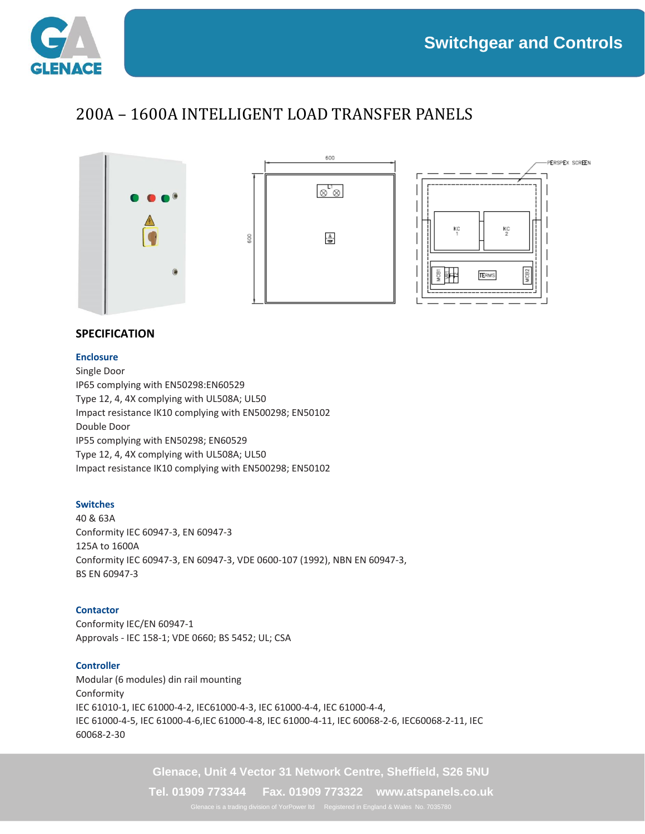

## 200A – 1600A INTELLIGENT LOAD TRANSFER PANELS



## **SPECIFICATION**

#### **Enclosure**

Single Door IP65 complying with EN50298:EN60529 Type 12, 4, 4X complying with UL508A; UL50 Impact resistance IK10 complying with EN500298; EN50102 Double Door IP55 complying with EN50298; EN60529 Type 12, 4, 4X complying with UL508A; UL50 Impact resistance IK10 complying with EN500298; EN50102

#### **Switches**

40 & 63A Conformity IEC 60947-3, EN 60947-3 125A to 1600A Conformity IEC 60947-3, EN 60947-3, VDE 0600-107 (1992), NBN EN 60947-3, BS EN 60947-3

#### **Contactor**

Conformity IEC/EN 60947-1 Approvals - IEC 158-1; VDE 0660; BS 5452; UL; CSA

#### **Controller**

Modular (6 modules) din rail mounting Conformity IEC 61010-1, IEC 61000-4-2, IEC61000-4-3, IEC 61000-4-4, IEC 61000-4-4, IEC 61000-4-5, IEC 61000-4-6,IEC 61000-4-8, IEC 61000-4-11, IEC 60068-2-6, IEC60068-2-11, IEC 60068-2-30

**Glenace, Unit 4 Vector 31 Network Centre, Sheffield, S26 5NU**

**Tel. 01909 773344 Fax. 01909 773322 www.atspanels.co.uk**